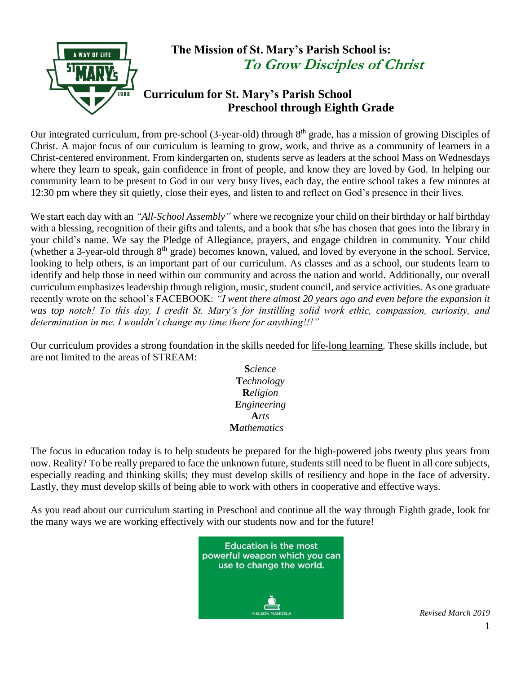

Our integrated curriculum, from pre-school (3-year-old) through 8<sup>th</sup> grade, has a mission of growing Disciples of Christ. A major focus of our curriculum is learning to grow, work, and thrive as a community of learners in a Christ-centered environment. From kindergarten on, students serve as leaders at the school Mass on Wednesdays where they learn to speak, gain confidence in front of people, and know they are loved by God. In helping our community learn to be present to God in our very busy lives, each day, the entire school takes a few minutes at 12:30 pm where they sit quietly, close their eyes, and listen to and reflect on God's presence in their lives.

We start each day with an *"All-School Assembly"* where we recognize your child on their birthday or half birthday with a blessing, recognition of their gifts and talents, and a book that s/he has chosen that goes into the library in your child's name. We say the Pledge of Allegiance, prayers, and engage children in community. Your child (whether a 3-year-old through 8<sup>th</sup> grade) becomes known, valued, and loved by everyone in the school. Service, looking to help others, is an important part of our curriculum. As classes and as a school, our students learn to identify and help those in need within our community and across the nation and world. Additionally, our overall curriculum emphasizes leadership through religion, music, student council, and service activities. As one graduate recently wrote on the school's FACEBOOK: *"I went there almost 20 years ago and even before the expansion it was top notch! To this day, I credit St. Mary's for instilling solid work ethic, compassion, curiosity, and determination in me. I wouldn't change my time there for anything!!!"*

Our curriculum provides a strong foundation in the skills needed for life-long learning. These skills include, but are not limited to the areas of STREAM:

> **S***cience* **T***echnology* **R***eligion* **E***ngineering* **A***rts* **M***athematics*

The focus in education today is to help students be prepared for the high-powered jobs twenty plus years from now. Reality? To be really prepared to face the unknown future, students still need to be fluent in all core subjects, especially reading and thinking skills; they must develop skills of resiliency and hope in the face of adversity. Lastly, they must develop skills of being able to work with others in cooperative and effective ways.

As you read about our curriculum starting in Preschool and continue all the way through Eighth grade, look for the many ways we are working effectively with our students now and for the future!

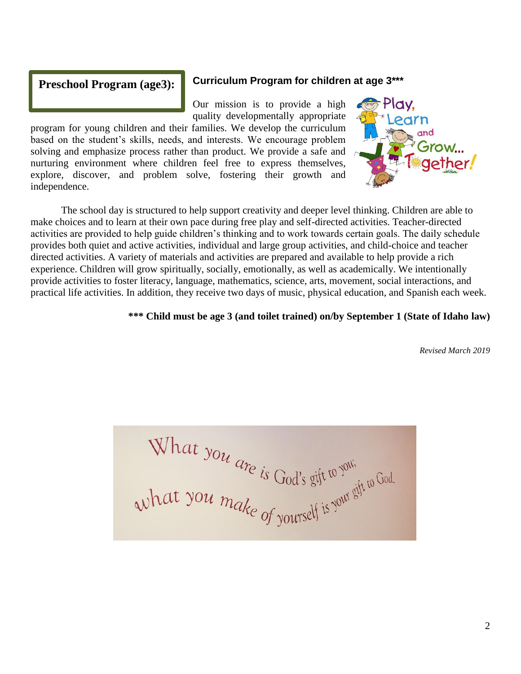#### **Preschool Program (age3):**

#### **Curriculum Program for children at age 3\*\*\***

Our mission is to provide a high quality developmentally appropriate

program for young children and their families. We develop the curriculum based on the student's skills, needs, and interests. We encourage problem solving and emphasize process rather than product. We provide a safe and nurturing environment where children feel free to express themselves, explore, discover, and problem solve, fostering their growth and independence.



The school day is structured to help support creativity and deeper level thinking. Children are able to make choices and to learn at their own pace during free play and self-directed activities. Teacher-directed activities are provided to help guide children's thinking and to work towards certain goals. The daily schedule provides both quiet and active activities, individual and large group activities, and child-choice and teacher directed activities. A variety of materials and activities are prepared and available to help provide a rich experience. Children will grow spiritually, socially, emotionally, as well as academically. We intentionally provide activities to foster literacy, language, mathematics, science, arts, movement, social interactions, and practical life activities. In addition, they receive two days of music, physical education, and Spanish each week.

#### **\*\*\* Child must be age 3 (and toilet trained) on/by September 1 (State of Idaho law)**

What you are is God's gift to you.<br>What you make of yourself is your gift to God.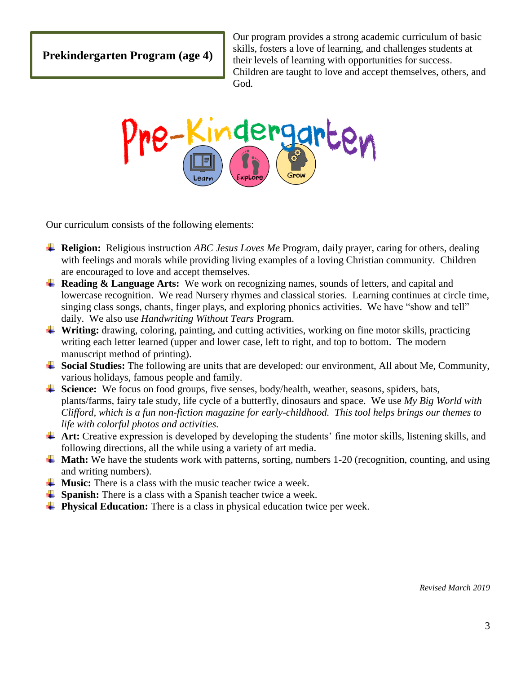**Prekindergarten Program (age 4)**

Our program provides a strong academic curriculum of basic skills, fosters a love of learning, and challenges students at their levels of learning with opportunities for success. Children are taught to love and accept themselves, others, and God.



Our curriculum consists of the following elements:

- **Religion:** Religious instruction *ABC Jesus Loves Me* Program, daily prayer, caring for others, dealing with feelings and morals while providing living examples of a loving Christian community. Children are encouraged to love and accept themselves.
- **Reading & Language Arts:** We work on recognizing names, sounds of letters, and capital and lowercase recognition. We read Nursery rhymes and classical stories. Learning continues at circle time, singing class songs, chants, finger plays, and exploring phonics activities. We have "show and tell" daily. We also use *Handwriting Without Tears* Program.
- **Writing:** drawing, coloring, painting, and cutting activities, working on fine motor skills, practicing writing each letter learned (upper and lower case, left to right, and top to bottom. The modern manuscript method of printing).
- **Social Studies:** The following are units that are developed: our environment, All about Me, Community, various holidays, famous people and family.
- **↓ Science:** We focus on food groups, five senses, body/health, weather, seasons, spiders, bats, plants/farms, fairy tale study, life cycle of a butterfly, dinosaurs and space. We use *My Big World with Clifford, which is a fun non-fiction magazine for early-childhood. This tool helps brings our themes to life with colorful photos and activities.*
- $\triangleq$  **Art:** Creative expression is developed by developing the students' fine motor skills, listening skills, and following directions, all the while using a variety of art media.
- $\blacktriangle$  **Math:** We have the students work with patterns, sorting, numbers 1-20 (recognition, counting, and using and writing numbers).
- $\frac{1}{\sqrt{1}}$  **Music:** There is a class with the music teacher twice a week.
- **Spanish:** There is a class with a Spanish teacher twice a week.
- **Physical Education:** There is a class in physical education twice per week.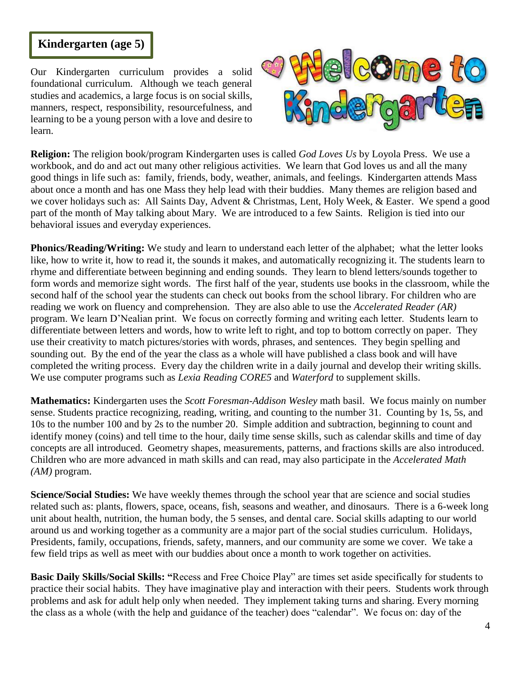# **Kindergarten (age 5)**

Our Kindergarten curriculum provides a solid foundational curriculum. Although we teach general studies and academics, a large focus is on social skills, manners, respect, responsibility, resourcefulness, and learning to be a young person with a love and desire to learn.



**Religion:** The religion book/program Kindergarten uses is called *God Loves Us* by Loyola Press. We use a workbook, and do and act out many other religious activities. We learn that God loves us and all the many good things in life such as: family, friends, body, weather, animals, and feelings. Kindergarten attends Mass about once a month and has one Mass they help lead with their buddies. Many themes are religion based and we cover holidays such as: All Saints Day, Advent & Christmas, Lent, Holy Week, & Easter. We spend a good part of the month of May talking about Mary. We are introduced to a few Saints. Religion is tied into our behavioral issues and everyday experiences.

**Phonics/Reading/Writing:** We study and learn to understand each letter of the alphabet; what the letter looks like, how to write it, how to read it, the sounds it makes, and automatically recognizing it. The students learn to rhyme and differentiate between beginning and ending sounds. They learn to blend letters/sounds together to form words and memorize sight words. The first half of the year, students use books in the classroom, while the second half of the school year the students can check out books from the school library. For children who are reading we work on fluency and comprehension. They are also able to use the *Accelerated Reader (AR)*  program. We learn D'Nealian print. We focus on correctly forming and writing each letter. Students learn to differentiate between letters and words, how to write left to right, and top to bottom correctly on paper. They use their creativity to match pictures/stories with words, phrases, and sentences. They begin spelling and sounding out. By the end of the year the class as a whole will have published a class book and will have completed the writing process. Every day the children write in a daily journal and develop their writing skills. We use computer programs such as *Lexia Reading CORE5* and *Waterford* to supplement skills.

**Mathematics:** Kindergarten uses the *Scott Foresman-Addison Wesley* math basil. We focus mainly on number sense. Students practice recognizing, reading, writing, and counting to the number 31. Counting by 1s, 5s, and 10s to the number 100 and by 2s to the number 20. Simple addition and subtraction, beginning to count and identify money (coins) and tell time to the hour, daily time sense skills, such as calendar skills and time of day concepts are all introduced. Geometry shapes, measurements, patterns, and fractions skills are also introduced. Children who are more advanced in math skills and can read, may also participate in the *Accelerated Math (AM)* program.

**Science/Social Studies:** We have weekly themes through the school year that are science and social studies related such as: plants, flowers, space, oceans, fish, seasons and weather, and dinosaurs. There is a 6-week long unit about health, nutrition, the human body, the 5 senses, and dental care. Social skills adapting to our world around us and working together as a community are a major part of the social studies curriculum. Holidays, Presidents, family, occupations, friends, safety, manners, and our community are some we cover. We take a few field trips as well as meet with our buddies about once a month to work together on activities.

**Basic Daily Skills/Social Skills: "**Recess and Free Choice Play" are times set aside specifically for students to practice their social habits. They have imaginative play and interaction with their peers. Students work through problems and ask for adult help only when needed. They implement taking turns and sharing. Every morning the class as a whole (with the help and guidance of the teacher) does "calendar". We focus on: day of the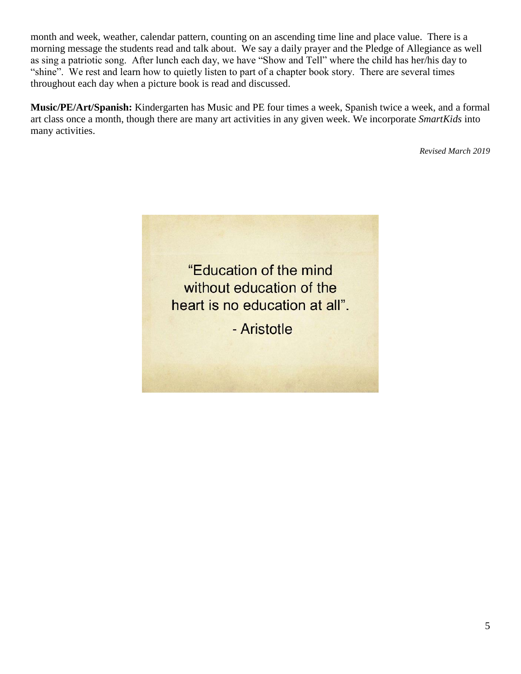month and week, weather, calendar pattern, counting on an ascending time line and place value. There is a morning message the students read and talk about. We say a daily prayer and the Pledge of Allegiance as well as sing a patriotic song. After lunch each day, we have "Show and Tell" where the child has her/his day to "shine". We rest and learn how to quietly listen to part of a chapter book story. There are several times throughout each day when a picture book is read and discussed.

**Music/PE/Art/Spanish:** Kindergarten has Music and PE four times a week, Spanish twice a week, and a formal art class once a month, though there are many art activities in any given week. We incorporate *SmartKids* into many activities.

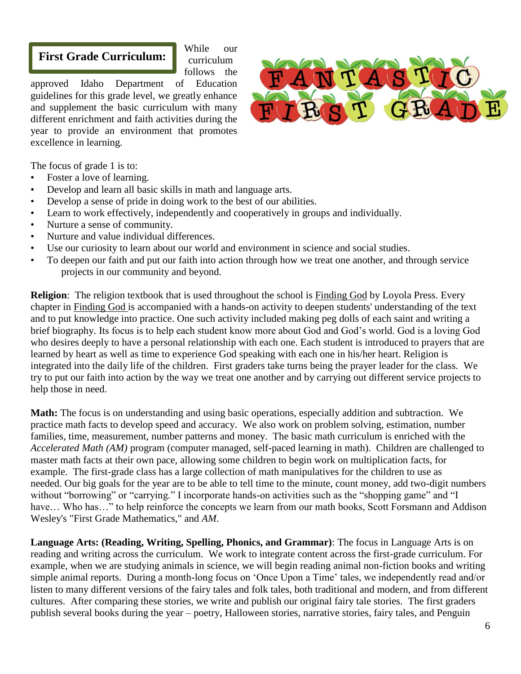## **First Grade Curriculum:**

While our curriculum follows the

approved Idaho Department of Education guidelines for this grade level, we greatly enhance and supplement the basic curriculum with many different enrichment and faith activities during the year to provide an environment that promotes excellence in learning.



The focus of grade 1 is to:

- Foster a love of learning.
- Develop and learn all basic skills in math and language arts.
- Develop a sense of pride in doing work to the best of our abilities.
- Learn to work effectively, independently and cooperatively in groups and individually.
- Nurture a sense of community.
- Nurture and value individual differences.
- Use our curiosity to learn about our world and environment in science and social studies.
- To deepen our faith and put our faith into action through how we treat one another, and through service projects in our community and beyond.

**Religion**: The religion textbook that is used throughout the school is Finding God by Loyola Press. Every chapter in Finding God is accompanied with a hands-on activity to deepen students' understanding of the text and to put knowledge into practice. One such activity included making peg dolls of each saint and writing a brief biography. Its focus is to help each student know more about God and God's world. God is a loving God who desires deeply to have a personal relationship with each one. Each student is introduced to prayers that are learned by heart as well as time to experience God speaking with each one in his/her heart. Religion is integrated into the daily life of the children. First graders take turns being the prayer leader for the class. We try to put our faith into action by the way we treat one another and by carrying out different service projects to help those in need.

**Math:** The focus is on understanding and using basic operations, especially addition and subtraction. We practice math facts to develop speed and accuracy. We also work on problem solving, estimation, number families, time, measurement, number patterns and money. The basic math curriculum is enriched with the *Accelerated Math (AM)* program (computer managed, self-paced learning in math). Children are challenged to master math facts at their own pace, allowing some children to begin work on multiplication facts, for example. The first-grade class has a large collection of math manipulatives for the children to use as needed. Our big goals for the year are to be able to tell time to the minute, count money, add two-digit numbers without "borrowing" or "carrying." I incorporate hands-on activities such as the "shopping game" and "I have... Who has..." to help reinforce the concepts we learn from our math books, Scott Forsmann and Addison Wesley's "First Grade Mathematics," and *AM*.

**Language Arts: (Reading, Writing, Spelling, Phonics, and Grammar)**: The focus in Language Arts is on reading and writing across the curriculum. We work to integrate content across the first-grade curriculum. For example, when we are studying animals in science, we will begin reading animal non-fiction books and writing simple animal reports. During a month-long focus on 'Once Upon a Time' tales, we independently read and/or listen to many different versions of the fairy tales and folk tales, both traditional and modern, and from different cultures. After comparing these stories, we write and publish our original fairy tale stories. The first graders publish several books during the year – poetry, Halloween stories, narrative stories, fairy tales, and Penguin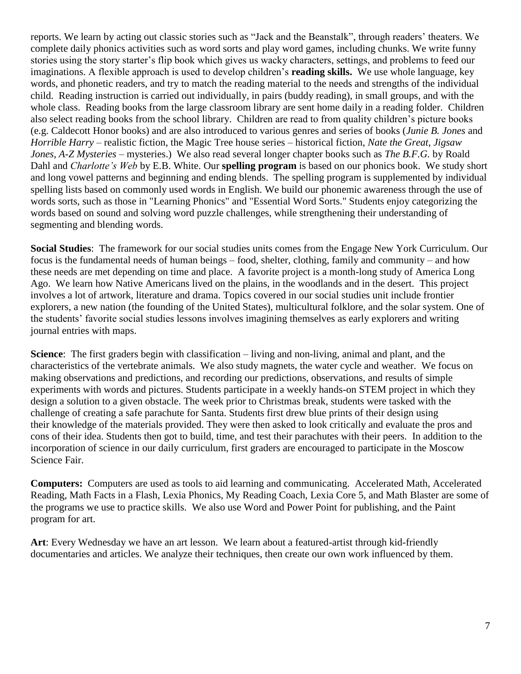reports. We learn by acting out classic stories such as "Jack and the Beanstalk", through readers' theaters. We complete daily phonics activities such as word sorts and play word games, including chunks. We write funny stories using the story starter's flip book which gives us wacky characters, settings, and problems to feed our imaginations. A flexible approach is used to develop children's **reading skills.** We use whole language, key words, and phonetic readers, and try to match the reading material to the needs and strengths of the individual child. Reading instruction is carried out individually, in pairs (buddy reading), in small groups, and with the whole class. Reading books from the large classroom library are sent home daily in a reading folder. Children also select reading books from the school library. Children are read to from quality children's picture books (e.g. Caldecott Honor books) and are also introduced to various genres and series of books (*Junie B. Jones* and *Horrible Harry* – realistic fiction, the Magic Tree house series – historical fiction, *Nate the Great*, *Jigsaw Jones*, *A-Z Mysteries* – mysteries.) We also read several longer chapter books such as *The B.F.G.* by Roald Dahl and *Charlotte's Web* by E.B. White. Our **spelling program** is based on our phonics book. We study short and long vowel patterns and beginning and ending blends. The spelling program is supplemented by individual spelling lists based on commonly used words in English. We build our phonemic awareness through the use of words sorts, such as those in "Learning Phonics" and "Essential Word Sorts." Students enjoy categorizing the words based on sound and solving word puzzle challenges, while strengthening their understanding of segmenting and blending words.

**Social Studies**: The framework for our social studies units comes from the Engage New York Curriculum. Our focus is the fundamental needs of human beings – food, shelter, clothing, family and community – and how these needs are met depending on time and place. A favorite project is a month-long study of America Long Ago. We learn how Native Americans lived on the plains, in the woodlands and in the desert. This project involves a lot of artwork, literature and drama. Topics covered in our social studies unit include frontier explorers, a new nation (the founding of the United States), multicultural folklore, and the solar system. One of the students' favorite social studies lessons involves imagining themselves as early explorers and writing journal entries with maps.

**Science**: The first graders begin with classification – living and non-living, animal and plant, and the characteristics of the vertebrate animals. We also study magnets, the water cycle and weather. We focus on making observations and predictions, and recording our predictions, observations, and results of simple experiments with words and pictures. Students participate in a weekly hands-on STEM project in which they design a solution to a given obstacle. The week prior to Christmas break, students were tasked with the challenge of creating a safe parachute for Santa. Students first drew blue prints of their design using their knowledge of the materials provided. They were then asked to look critically and evaluate the pros and cons of their idea. Students then got to build, time, and test their parachutes with their peers. In addition to the incorporation of science in our daily curriculum, first graders are encouraged to participate in the Moscow Science Fair.

**Computers:** Computers are used as tools to aid learning and communicating. Accelerated Math, Accelerated Reading, Math Facts in a Flash, Lexia Phonics, My Reading Coach, Lexia Core 5, and Math Blaster are some of the programs we use to practice skills. We also use Word and Power Point for publishing, and the Paint program for art.

**Art**: Every Wednesday we have an art lesson. We learn about a featured-artist through kid-friendly documentaries and articles. We analyze their techniques, then create our own work influenced by them.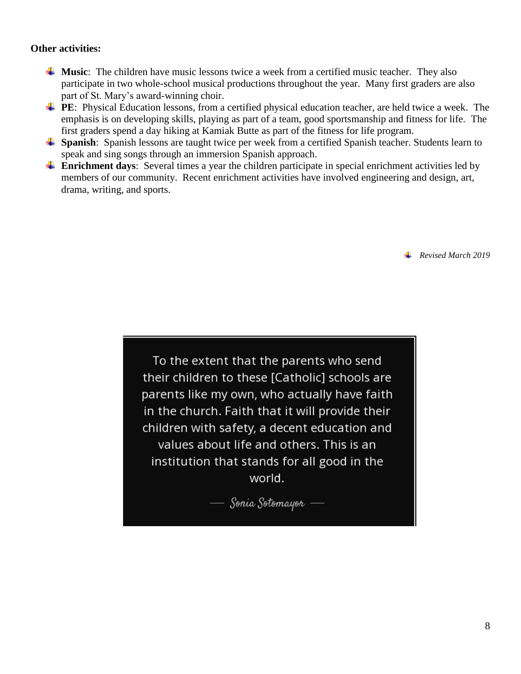#### **Other activities:**

- **Music**: The children have music lessons twice a week from a certified music teacher. They also participate in two whole-school musical productions throughout the year. Many first graders are also part of St. Mary's award-winning choir.
- **PE:** Physical Education lessons, from a certified physical education teacher, are held twice a week. The emphasis is on developing skills, playing as part of a team, good sportsmanship and fitness for life. The first graders spend a day hiking at Kamiak Butte as part of the fitness for life program.
- **Spanish:** Spanish lessons are taught twice per week from a certified Spanish teacher. Students learn to speak and sing songs through an immersion Spanish approach.
- **Enrichment days**: Several times a year the children participate in special enrichment activities led by members of our community. Recent enrichment activities have involved engineering and design, art, drama, writing, and sports.

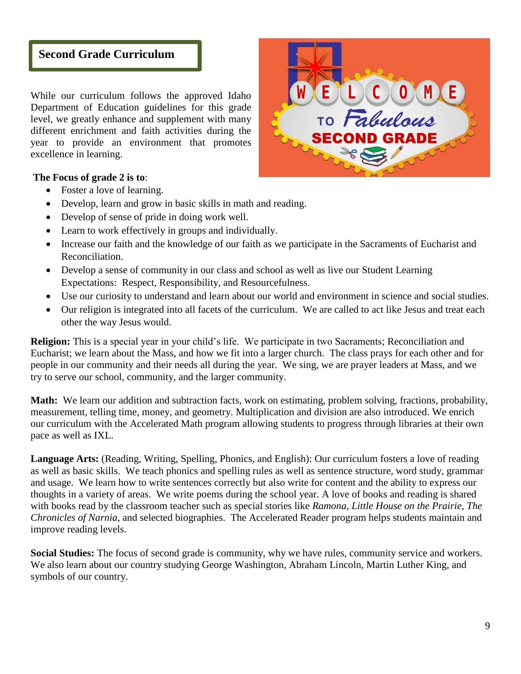## **Second Grade Curriculum**

While our curriculum follows the approved Idaho Department of Education guidelines for this grade level, we greatly enhance and supplement with many different enrichment and faith activities during the year to provide an environment that promotes excellence in learning.



#### **The Focus of grade 2 is to**:

- Foster a love of learning.
- Develop, learn and grow in basic skills in math and reading.
- Develop of sense of pride in doing work well.
- Learn to work effectively in groups and individually.
- Increase our faith and the knowledge of our faith as we participate in the Sacraments of Eucharist and Reconciliation.
- Develop a sense of community in our class and school as well as live our Student Learning Expectations: Respect, Responsibility, and Resourcefulness.
- Use our curiosity to understand and learn about our world and environment in science and social studies.
- Our religion is integrated into all facets of the curriculum. We are called to act like Jesus and treat each other the way Jesus would.

**Religion:** This is a special year in your child's life. We participate in two Sacraments; Reconciliation and Eucharist; we learn about the Mass, and how we fit into a larger church. The class prays for each other and for people in our community and their needs all during the year. We sing, we are prayer leaders at Mass, and we try to serve our school, community, and the larger community.

**Math:** We learn our addition and subtraction facts, work on estimating, problem solving, fractions, probability, measurement, telling time, money, and geometry. Multiplication and division are also introduced. We enrich our curriculum with the Accelerated Math program allowing students to progress through libraries at their own pace as well as IXL.

**Language Arts:** (Reading, Writing, Spelling, Phonics, and English): Our curriculum fosters a love of reading as well as basic skills. We teach phonics and spelling rules as well as sentence structure, word study, grammar and usage. We learn how to write sentences correctly but also write for content and the ability to express our thoughts in a variety of areas. We write poems during the school year. A love of books and reading is shared with books read by the classroom teacher such as special stories like *Ramona*, *Little House on the Prairie*, *The Chronicles of Narnia*, and selected biographies. The Accelerated Reader program helps students maintain and improve reading levels.

**Social Studies:** The focus of second grade is community, why we have rules, community service and workers. We also learn about our country studying George Washington, Abraham Lincoln, Martin Luther King, and symbols of our country.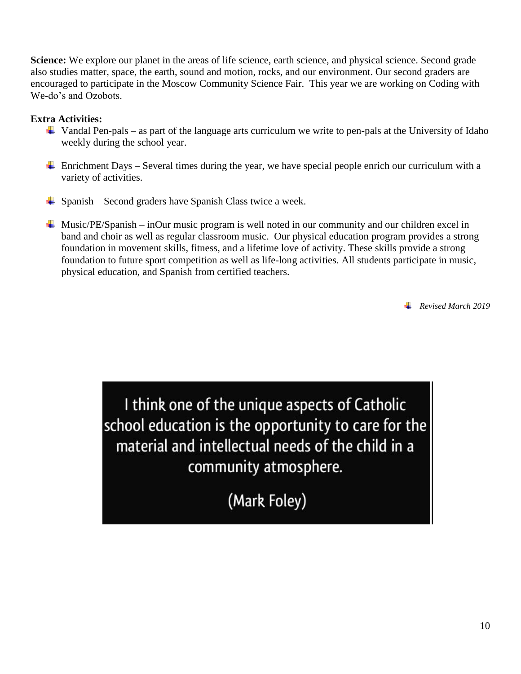**Science:** We explore our planet in the areas of life science, earth science, and physical science. Second grade also studies matter, space, the earth, sound and motion, rocks, and our environment. Our second graders are encouraged to participate in the Moscow Community Science Fair. This year we are working on Coding with We-do's and Ozobots.

#### **Extra Activities:**

- $\ddot{\phantom{1}}$  Vandal Pen-pals as part of the language arts curriculum we write to pen-pals at the University of Idaho weekly during the school year.
- Enrichment Days Several times during the year, we have special people enrich our curriculum with a variety of activities.
- $\overline{\phantom{a}}$  Spanish Second graders have Spanish Class twice a week.
- $\overline{\phantom{a}}$  Music/PE/Spanish inOur music program is well noted in our community and our children excel in band and choir as well as regular classroom music. Our physical education program provides a strong foundation in movement skills, fitness, and a lifetime love of activity. These skills provide a strong foundation to future sport competition as well as life-long activities. All students participate in music, physical education, and Spanish from certified teachers.

*Revised March 2019*

I think one of the unique aspects of Catholic school education is the opportunity to care for the material and intellectual needs of the child in a community atmosphere.

(Mark Foley)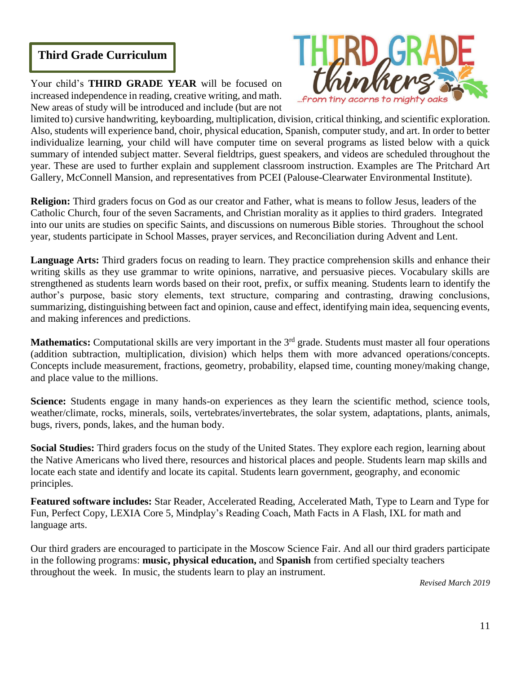## **Third Grade Curriculum**

Your child's **THIRD GRADE YEAR** will be focused on increased independence in reading, creative writing, and math. New areas of study will be introduced and include (but are not



limited to) cursive handwriting, keyboarding, multiplication, division, critical thinking, and scientific exploration. Also, students will experience band, choir, physical education, Spanish, computer study, and art. In order to better individualize learning, your child will have computer time on several programs as listed below with a quick summary of intended subject matter. Several fieldtrips, guest speakers, and videos are scheduled throughout the year. These are used to further explain and supplement classroom instruction. Examples are The Pritchard Art Gallery, McConnell Mansion, and representatives from PCEI (Palouse-Clearwater Environmental Institute).

**Religion:** Third graders focus on God as our creator and Father, what is means to follow Jesus, leaders of the Catholic Church, four of the seven Sacraments, and Christian morality as it applies to third graders. Integrated into our units are studies on specific Saints, and discussions on numerous Bible stories. Throughout the school year, students participate in School Masses, prayer services, and Reconciliation during Advent and Lent.

**Language Arts:** Third graders focus on reading to learn. They practice comprehension skills and enhance their writing skills as they use grammar to write opinions, narrative, and persuasive pieces. Vocabulary skills are strengthened as students learn words based on their root, prefix, or suffix meaning. Students learn to identify the author's purpose, basic story elements, text structure, comparing and contrasting, drawing conclusions, summarizing, distinguishing between fact and opinion, cause and effect, identifying main idea, sequencing events, and making inferences and predictions.

**Mathematics:** Computational skills are very important in the 3<sup>rd</sup> grade. Students must master all four operations (addition subtraction, multiplication, division) which helps them with more advanced operations/concepts. Concepts include measurement, fractions, geometry, probability, elapsed time, counting money/making change, and place value to the millions.

**Science:** Students engage in many hands-on experiences as they learn the scientific method, science tools, weather/climate, rocks, minerals, soils, vertebrates/invertebrates, the solar system, adaptations, plants, animals, bugs, rivers, ponds, lakes, and the human body.

**Social Studies:** Third graders focus on the study of the United States. They explore each region, learning about the Native Americans who lived there, resources and historical places and people. Students learn map skills and locate each state and identify and locate its capital. Students learn government, geography, and economic principles.

**Featured software includes:** Star Reader, Accelerated Reading, Accelerated Math, Type to Learn and Type for Fun, Perfect Copy, LEXIA Core 5, Mindplay's Reading Coach, Math Facts in A Flash, IXL for math and language arts.

Our third graders are encouraged to participate in the Moscow Science Fair. And all our third graders participate in the following programs: **music, physical education,** and **Spanish** from certified specialty teachers throughout the week. In music, the students learn to play an instrument.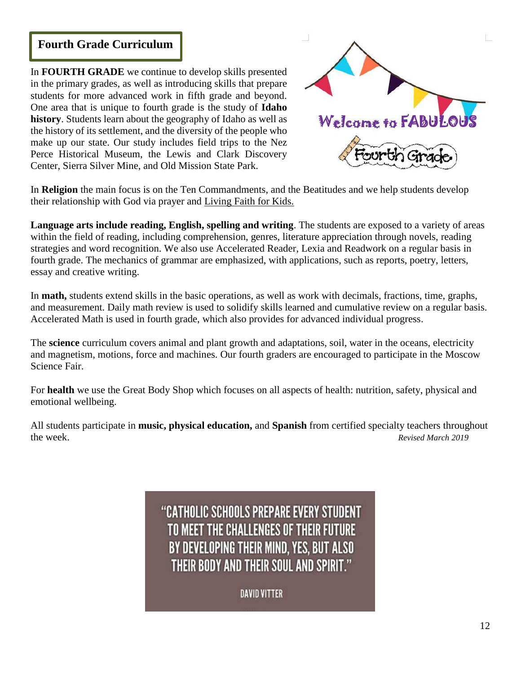## **Fourth Grade Curriculum**

In **FOURTH GRADE** we continue to develop skills presented in the primary grades, as well as introducing skills that prepare students for more advanced work in fifth grade and beyond. One area that is unique to fourth grade is the study of **Idaho history**. Students learn about the geography of Idaho as well as the history of its settlement, and the diversity of the people who make up our state. Our study includes field trips to the Nez Perce Historical Museum, the Lewis and Clark Discovery Center, Sierra Silver Mine, and Old Mission State Park.



In **Religion** the main focus is on the Ten Commandments, and the Beatitudes and we help students develop their relationship with God via prayer and Living Faith for Kids.

**Language arts include reading, English, spelling and writing**. The students are exposed to a variety of areas within the field of reading, including comprehension, genres, literature appreciation through novels, reading strategies and word recognition. We also use Accelerated Reader, Lexia and Readwork on a regular basis in fourth grade. The mechanics of grammar are emphasized, with applications, such as reports, poetry, letters, essay and creative writing.

In **math,** students extend skills in the basic operations, as well as work with decimals, fractions, time, graphs, and measurement. Daily math review is used to solidify skills learned and cumulative review on a regular basis. Accelerated Math is used in fourth grade, which also provides for advanced individual progress.

The **science** curriculum covers animal and plant growth and adaptations, soil, water in the oceans, electricity and magnetism, motions, force and machines. Our fourth graders are encouraged to participate in the Moscow Science Fair.

For **health** we use the Great Body Shop which focuses on all aspects of health: nutrition, safety, physical and emotional wellbeing.

All students participate in **music, physical education,** and **Spanish** from certified specialty teachers throughout the week. *Revised March 2019*

# "CATHOLIC SCHOOLS PREPARE EVERY STUDENT TO MEET THE CHALLENGES OF THEIR FUTURE BY DEVELOPING THEIR MIND, YES, BUT ALSO THEIR BODY AND THEIR SOUL AND SPIRIT."

DAVID VITTER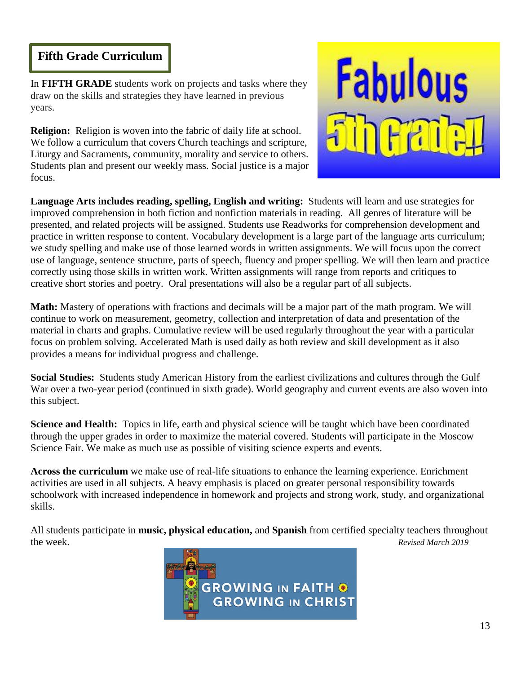## **Fifth Grade Curriculum**

In **FIFTH GRADE** students work on projects and tasks where they draw on the skills and strategies they have learned in previous years.

**Religion:** Religion is woven into the fabric of daily life at school. We follow a curriculum that covers Church teachings and scripture, Liturgy and Sacraments, community, morality and service to others. Students plan and present our weekly mass. Social justice is a major focus.



**Language Arts includes reading, spelling, English and writing:** Students will learn and use strategies for improved comprehension in both fiction and nonfiction materials in reading. All genres of literature will be presented, and related projects will be assigned. Students use Readworks for comprehension development and practice in written response to content. Vocabulary development is a large part of the language arts curriculum; we study spelling and make use of those learned words in written assignments. We will focus upon the correct use of language, sentence structure, parts of speech, fluency and proper spelling. We will then learn and practice correctly using those skills in written work. Written assignments will range from reports and critiques to creative short stories and poetry. Oral presentations will also be a regular part of all subjects.

**Math:** Mastery of operations with fractions and decimals will be a major part of the math program. We will continue to work on measurement, geometry, collection and interpretation of data and presentation of the material in charts and graphs. Cumulative review will be used regularly throughout the year with a particular focus on problem solving. Accelerated Math is used daily as both review and skill development as it also provides a means for individual progress and challenge.

**Social Studies:** Students study American History from the earliest civilizations and cultures through the Gulf War over a two-year period (continued in sixth grade). World geography and current events are also woven into this subject.

**Science and Health:** Topics in life, earth and physical science will be taught which have been coordinated through the upper grades in order to maximize the material covered. Students will participate in the Moscow Science Fair. We make as much use as possible of visiting science experts and events.

**Across the curriculum** we make use of real-life situations to enhance the learning experience. Enrichment activities are used in all subjects. A heavy emphasis is placed on greater personal responsibility towards schoolwork with increased independence in homework and projects and strong work, study, and organizational skills.

All students participate in **music, physical education,** and **Spanish** from certified specialty teachers throughout the week. *Revised March 2019*

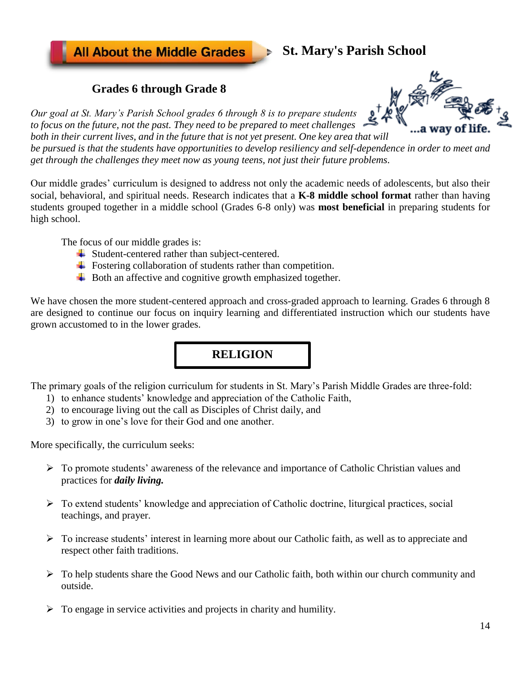**All About the Middle Grades** 

# **St. Mary's Parish School**

## **Grades 6 through Grade 8**

*Our goal at St. Mary's Parish School grades 6 through 8 is to prepare students to focus on the future, not the past. They need to be prepared to meet challenges both in their current lives, and in the future that is not yet present. One key area that will* 

*be pursued is that the students have opportunities to develop resiliency and self-dependence in order to meet and get through the challenges they meet now as young teens, not just their future problems.*

Our middle grades' curriculum is designed to address not only the academic needs of adolescents, but also their social, behavioral, and spiritual needs. Research indicates that a **K-8 middle school format** rather than having students grouped together in a middle school (Grades 6-8 only) was **most beneficial** in preparing students for high school.

The focus of our middle grades is:

- $\overline{\text{4}}$  Student-centered rather than subject-centered.
- $\overline{\phantom{a}}$  Fostering collaboration of students rather than competition.
- $\overline{\phantom{a}}$  Both an affective and cognitive growth emphasized together.

We have chosen the more student-centered approach and cross-graded approach to learning. Grades 6 through 8 are designed to continue our focus on inquiry learning and differentiated instruction which our students have grown accustomed to in the lower grades.

## **RELIGION**

The primary goals of the religion curriculum for students in St. Mary's Parish Middle Grades are three-fold:

- 1) to enhance students' knowledge and appreciation of the Catholic Faith,
- 2) to encourage living out the call as Disciples of Christ daily, and
- 3) to grow in one's love for their God and one another.

More specifically, the curriculum seeks:

- ➢ To promote students' awareness of the relevance and importance of Catholic Christian values and practices for *daily living.*
- ➢ To extend students' knowledge and appreciation of Catholic doctrine, liturgical practices, social teachings, and prayer.
- $\triangleright$  To increase students' interest in learning more about our Catholic faith, as well as to appreciate and respect other faith traditions.
- $\triangleright$  To help students share the Good News and our Catholic faith, both within our church community and outside.
- $\triangleright$  To engage in service activities and projects in charity and humility.

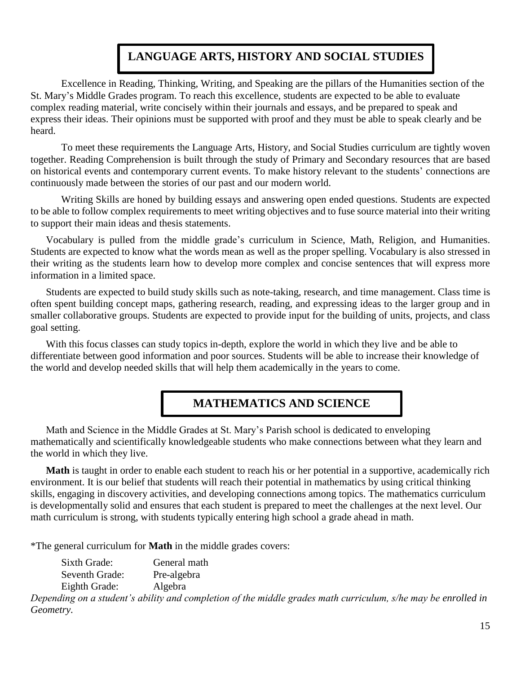# **LANGUAGE ARTS, HISTORY AND SOCIAL STUDIES**

Excellence in Reading, Thinking, Writing, and Speaking are the pillars of the Humanities section of the St. Mary's Middle Grades program. To reach this excellence, students are expected to be able to evaluate complex reading material, write concisely within their journals and essays, and be prepared to speak and express their ideas. Their opinions must be supported with proof and they must be able to speak clearly and be heard.

To meet these requirements the Language Arts, History, and Social Studies curriculum are tightly woven together. Reading Comprehension is built through the study of Primary and Secondary resources that are based on historical events and contemporary current events. To make history relevant to the students' connections are continuously made between the stories of our past and our modern world.

Writing Skills are honed by building essays and answering open ended questions. Students are expected to be able to follow complex requirements to meet writing objectives and to fuse source material into their writing to support their main ideas and thesis statements.

Vocabulary is pulled from the middle grade's curriculum in Science, Math, Religion, and Humanities. Students are expected to know what the words mean as well as the proper spelling. Vocabulary is also stressed in their writing as the students learn how to develop more complex and concise sentences that will express more information in a limited space.

Students are expected to build study skills such as note-taking, research, and time management. Class time is often spent building concept maps, gathering research, reading, and expressing ideas to the larger group and in smaller collaborative groups. Students are expected to provide input for the building of units, projects, and class goal setting.

With this focus classes can study topics in-depth, explore the world in which they live and be able to differentiate between good information and poor sources. Students will be able to increase their knowledge of the world and develop needed skills that will help them academically in the years to come.

# **MATHEMATICS AND SCIENCE**

Math and Science in the Middle Grades at St. Mary's Parish school is dedicated to enveloping mathematically and scientifically knowledgeable students who make connections between what they learn and the world in which they live.

**Math** is taught in order to enable each student to reach his or her potential in a supportive, academically rich environment. It is our belief that students will reach their potential in mathematics by using critical thinking skills, engaging in discovery activities, and developing connections among topics. The mathematics curriculum is developmentally solid and ensures that each student is prepared to meet the challenges at the next level. Our math curriculum is strong, with students typically entering high school a grade ahead in math.

\*The general curriculum for **Math** in the middle grades covers:

| Sixth Grade:   | General math |
|----------------|--------------|
| Seventh Grade: | Pre-algebra  |
| Eighth Grade:  | Algebra      |

*Depending on a student's ability and completion of the middle grades math curriculum, s/he may be enrolled in Geometry.*